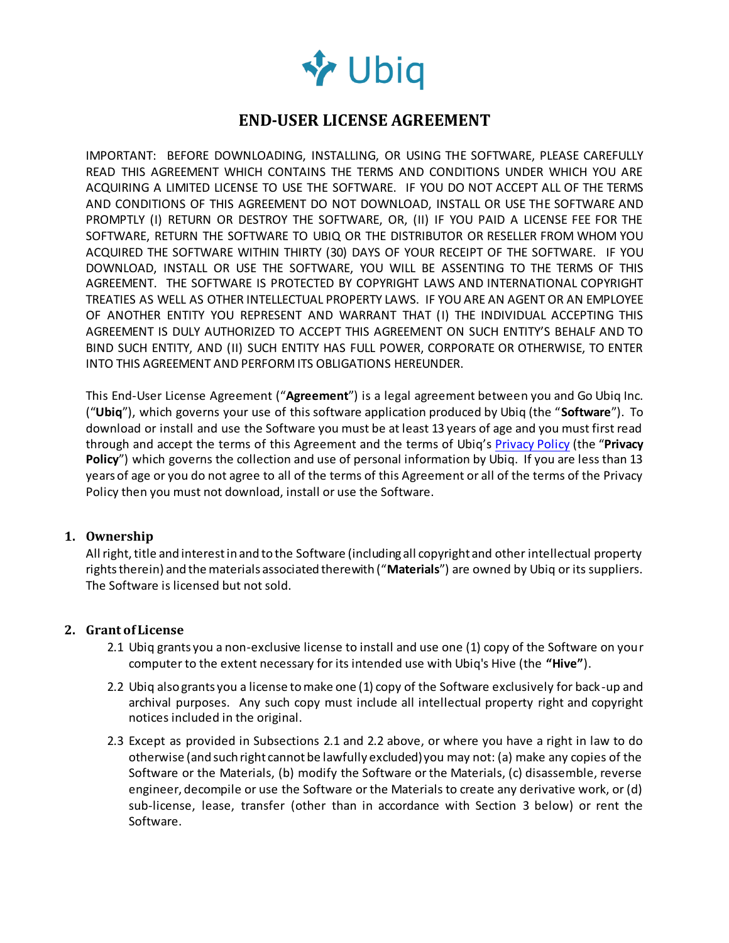

# **END-USER LICENSE AGREEMENT**

IMPORTANT: BEFORE DOWNLOADING, INSTALLING, OR USING THE SOFTWARE, PLEASE CAREFULLY READ THIS AGREEMENT WHICH CONTAINS THE TERMS AND CONDITIONS UNDER WHICH YOU ARE ACQUIRING A LIMITED LICENSE TO USE THE SOFTWARE. IF YOU DO NOT ACCEPT ALL OF THE TERMS AND CONDITIONS OF THIS AGREEMENT DO NOT DOWNLOAD, INSTALL OR USE THE SOFTWARE AND PROMPTLY (I) RETURN OR DESTROY THE SOFTWARE, OR, (II) IF YOU PAID A LICENSE FEE FOR THE SOFTWARE, RETURN THE SOFTWARE TO UBIQ OR THE DISTRIBUTOR OR RESELLER FROM WHOM YOU ACQUIRED THE SOFTWARE WITHIN THIRTY (30) DAYS OF YOUR RECEIPT OF THE SOFTWARE. IF YOU DOWNLOAD, INSTALL OR USE THE SOFTWARE, YOU WILL BE ASSENTING TO THE TERMS OF THIS AGREEMENT. THE SOFTWARE IS PROTECTED BY COPYRIGHT LAWS AND INTERNATIONAL COPYRIGHT TREATIES AS WELL AS OTHER INTELLECTUAL PROPERTY LAWS. IF YOU ARE AN AGENT OR AN EMPLOYEE OF ANOTHER ENTITY YOU REPRESENT AND WARRANT THAT (I) THE INDIVIDUAL ACCEPTING THIS AGREEMENT IS DULY AUTHORIZED TO ACCEPT THIS AGREEMENT ON SUCH ENTITY'S BEHALF AND TO BIND SUCH ENTITY, AND (II) SUCH ENTITY HAS FULL POWER, CORPORATE OR OTHERWISE, TO ENTER INTO THIS AGREEMENT AND PERFORM ITS OBLIGATIONS HEREUNDER.

This End-User License Agreement ("**Agreement**") is a legal agreement between you and Go Ubiq Inc. ("**Ubiq**"), which governs your use of this software application produced by Ubiq (the "**Software**"). To download or install and use the Software you must be at least 13 years of age and you must first read through and accept the terms of this Agreement and the terms of Ubiq's [Privacy Policy](http://goubiq.com/privacy.pdf) (the "**Privacy Policy**") which governs the collection and use of personal information by Ubiq. If you are less than 13 years of age or you do not agree to all of the terms of this Agreement or all of the terms of the Privacy Policy then you must not download, install or use the Software.

### **1. Ownership**

All right, title and interest in and to the Software (including all copyright and other intellectual property rights therein) and the materials associated therewith ("**Materials**") are owned by Ubiq or its suppliers. The Software is licensed but not sold.

#### **2. Grant of License**

- 2.1 Ubiq grants you a non-exclusive license to install and use one (1) copy of the Software on your computer to the extent necessary for its intended use with Ubiq's Hive (the **"Hive"**).
- 2.2 Ubiq also grants you a license to make one (1) copy of the Software exclusively for back-up and archival purposes. Any such copy must include all intellectual property right and copyright notices included in the original.
- 2.3 Except as provided in Subsections 2.1 and 2.2 above, or where you have a right in law to do otherwise (and such right cannot be lawfully excluded) you may not: (a) make any copies of the Software or the Materials, (b) modify the Software or the Materials, (c) disassemble, reverse engineer, decompile or use the Software or the Materials to create any derivative work, or (d) sub-license, lease, transfer (other than in accordance with Section 3 below) or rent the Software.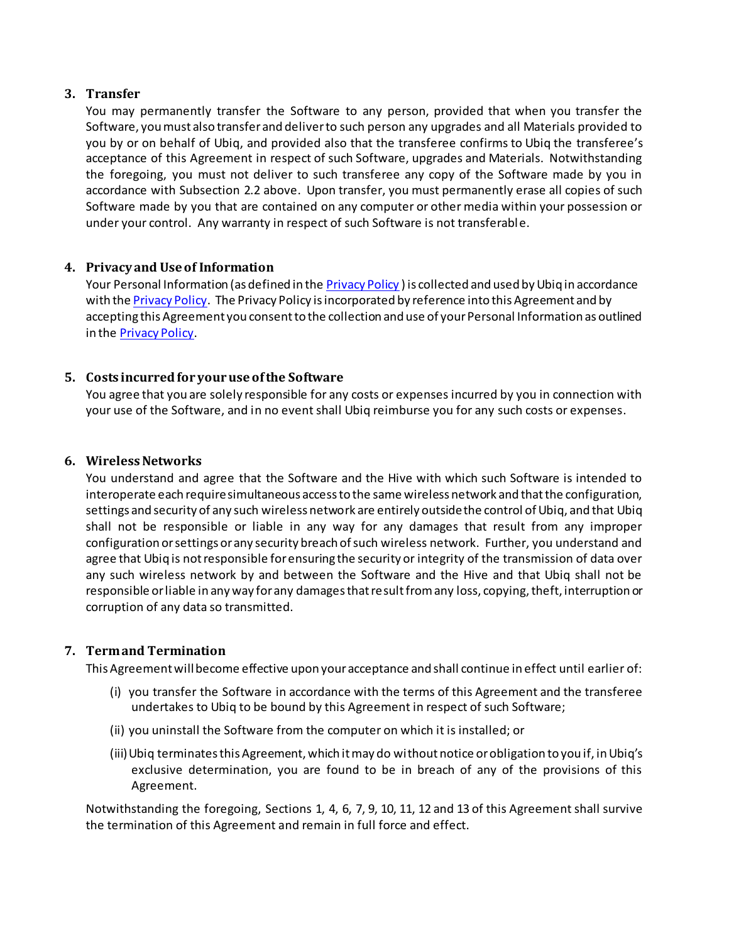### **3. Transfer**

You may permanently transfer the Software to any person, provided that when you transfer the Software, you must also transfer and deliver to such person any upgrades and all Materials provided to you by or on behalf of Ubiq, and provided also that the transferee confirms to Ubiq the transferee's acceptance of this Agreement in respect of such Software, upgrades and Materials. Notwithstanding the foregoing, you must not deliver to such transferee any copy of the Software made by you in accordance with Subsection 2.2 above. Upon transfer, you must permanently erase all copies of such Software made by you that are contained on any computer or other media within your possession or under your control. Any warranty in respect of such Software is not transferable.

# **4. Privacy and Use of Information**

Your Personal Information (as defined in th[e Privacy Policy](http://goubiq.com/privacy.pdf)) is collected and used by Ubiq in accordance with the [Privacy Policy.](http://goubiq.com/privacy.pdf) The Privacy Policy is incorporated by reference into this Agreement and by accepting this Agreement you consent to the collection and use of your Personal Information as outlined in the [Privacy Policy.](http://goubiq.com/privacy.pdf)

# **5. Costs incurred for your use of the Software**

You agree that you are solely responsible for any costs or expenses incurred by you in connection with your use of the Software, and in no event shall Ubiq reimburse you for any such costs or expenses.

### **6. Wireless Networks**

You understand and agree that the Software and the Hive with which such Software is intended to interoperate each require simultaneous access to the same wireless network and that the configuration, settings and security of any such wireless network are entirely outside the control of Ubiq, and that Ubiq shall not be responsible or liable in any way for any damages that result from any improper configuration or settings or any security breach of such wireless network. Further, you understand and agree that Ubiq is not responsible for ensuring the security or integrity of the transmission of data over any such wireless network by and between the Software and the Hive and that Ubiq shall not be responsible or liable in any way for any damages that result from any loss, copying, theft, interruption or corruption of any data so transmitted.

# **7. Term and Termination**

This Agreement will become effective upon your acceptance and shall continue in effect until earlier of:

- (i) you transfer the Software in accordance with the terms of this Agreement and the transferee undertakes to Ubiq to be bound by this Agreement in respect of such Software;
- (ii) you uninstall the Software from the computer on which it is installed; or
- (iii)Ubiq terminates this Agreement, which it may do without notice or obligation to you if, in Ubiq's exclusive determination, you are found to be in breach of any of the provisions of this Agreement.

Notwithstanding the foregoing, Sections 1, 4, 6, 7, 9, 10, 11, 12 and 13 of this Agreement shall survive the termination of this Agreement and remain in full force and effect.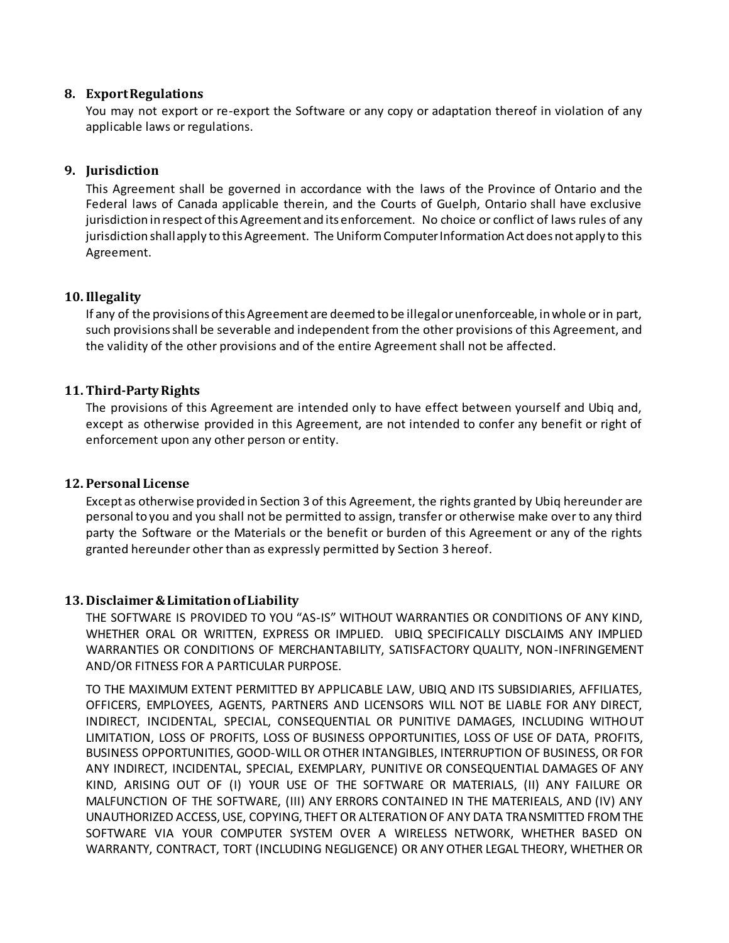#### **8. Export Regulations**

You may not export or re-export the Software or any copy or adaptation thereof in violation of any applicable laws or regulations.

# **9. Jurisdiction**

This Agreement shall be governed in accordance with the laws of the Province of Ontario and the Federal laws of Canada applicable therein, and the Courts of Guelph, Ontario shall have exclusive jurisdiction in respect of this Agreement and its enforcement. No choice or conflict of laws rules of any jurisdiction shall apply to this Agreement. The Uniform Computer Information Act does not apply to this Agreement.

### **10.Illegality**

If any of the provisions of this Agreement are deemed to be illegal or unenforceable, in whole or in part, such provisions shall be severable and independent from the other provisions of this Agreement, and the validity of the other provisions and of the entire Agreement shall not be affected.

# **11. Third-Party Rights**

The provisions of this Agreement are intended only to have effect between yourself and Ubiq and, except as otherwise provided in this Agreement, are not intended to confer any benefit or right of enforcement upon any other person or entity.

#### **12. Personal License**

Except as otherwise provided in Section 3 of this Agreement, the rights granted by Ubiq hereunder are personal to you and you shall not be permitted to assign, transfer or otherwise make over to any third party the Software or the Materials or the benefit or burden of this Agreement or any of the rights granted hereunder other than as expressly permitted by Section 3 hereof.

#### **13. Disclaimer & Limitation of Liability**

THE SOFTWARE IS PROVIDED TO YOU "AS-IS" WITHOUT WARRANTIES OR CONDITIONS OF ANY KIND, WHETHER ORAL OR WRITTEN, EXPRESS OR IMPLIED. UBIQ SPECIFICALLY DISCLAIMS ANY IMPLIED WARRANTIES OR CONDITIONS OF MERCHANTABILITY, SATISFACTORY QUALITY, NON-INFRINGEMENT AND/OR FITNESS FOR A PARTICULAR PURPOSE.

TO THE MAXIMUM EXTENT PERMITTED BY APPLICABLE LAW, UBIQ AND ITS SUBSIDIARIES, AFFILIATES, OFFICERS, EMPLOYEES, AGENTS, PARTNERS AND LICENSORS WILL NOT BE LIABLE FOR ANY DIRECT, INDIRECT, INCIDENTAL, SPECIAL, CONSEQUENTIAL OR PUNITIVE DAMAGES, INCLUDING WITHOUT LIMITATION, LOSS OF PROFITS, LOSS OF BUSINESS OPPORTUNITIES, LOSS OF USE OF DATA, PROFITS, BUSINESS OPPORTUNITIES, GOOD-WILL OR OTHER INTANGIBLES, INTERRUPTION OF BUSINESS, OR FOR ANY INDIRECT, INCIDENTAL, SPECIAL, EXEMPLARY, PUNITIVE OR CONSEQUENTIAL DAMAGES OF ANY KIND, ARISING OUT OF (I) YOUR USE OF THE SOFTWARE OR MATERIALS, (II) ANY FAILURE OR MALFUNCTION OF THE SOFTWARE, (III) ANY ERRORS CONTAINED IN THE MATERIEALS, AND (IV) ANY UNAUTHORIZED ACCESS, USE, COPYING, THEFT OR ALTERATION OF ANY DATA TRANSMITTED FROM THE SOFTWARE VIA YOUR COMPUTER SYSTEM OVER A WIRELESS NETWORK, WHETHER BASED ON WARRANTY, CONTRACT, TORT (INCLUDING NEGLIGENCE) OR ANY OTHER LEGAL THEORY, WHETHER OR